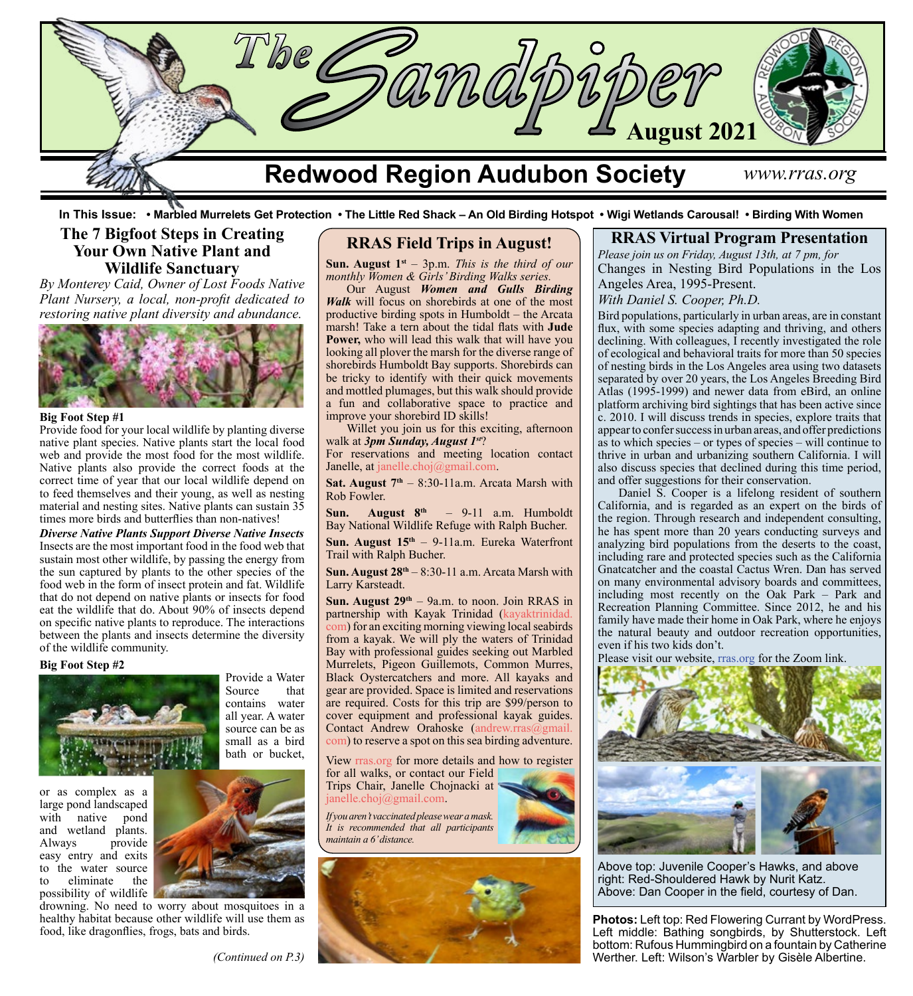

 **In This Issue: • Marbled Murrelets Get Protection • The Little Red Shack – An Old Birding Hotspot • Wigi Wetlands Carousal! • Birding With Women**

# **The 7 Bigfoot Steps in Creating Your Own Native Plant and Wildlife Sanctuary**

*By Monterey Caid, Owner of Lost Foods Native Plant Nursery, a local, non-profit dedicated to restoring native plant diversity and abundance.*



## **Big Foot Step #1**

Provide food for your local wildlife by planting diverse native plant species. Native plants start the local food web and provide the most food for the most wildlife. Native plants also provide the correct foods at the correct time of year that our local wildlife depend on to feed themselves and their young, as well as nesting material and nesting sites. Native plants can sustain 35 times more birds and butterflies than non-natives!

*Diverse Native Plants Support Diverse Native Insects* Insects are the most important food in the food web that sustain most other wildlife, by passing the energy from the sun captured by plants to the other species of the food web in the form of insect protein and fat. Wildlife that do not depend on native plants or insects for food eat the wildlife that do. About 90% of insects depend on specific native plants to reproduce. The interactions between the plants and insects determine the diversity of the wildlife community.

### **Big Foot Step #2**



or as complex as a large pond landscaped<br>with native pond native pond and wetland plants. Always provide easy entry and exits to the water source to eliminate the possibility of wildlife



Provide a Water

contains water all year. A water source can be as small as a bird bath or bucket,

Source

drowning. No need to worry about mosquitoes in a healthy habitat because other wildlife will use them as food, like dragonflies, frogs, bats and birds.

# **RRAS Field Trips in August!**

**Sun. August 1st** – 3p.m. *This is the third of our monthly Women & Girls' Birding Walks series.*

Our August *Women and Gulls Birding Walk* will focus on shorebirds at one of the most productive birding spots in Humboldt – the Arcata marsh! Take a tern about the tidal flats with **Jude Power,** who will lead this walk that will have you looking all plover the marsh for the diverse range of shorebirds Humboldt Bay supports. Shorebirds can be tricky to identify with their quick movements and mottled plumages, but this walk should provide a fun and collaborative space to practice and improve your shorebird ID skills!

Willet you join us for this exciting, afternoon walk at *3pm Sunday, August 1st*?

For reservations and meeting location contact Janelle, at [janelle.choj@gmail.com](mailto:janelle.choj%40gmail.com?subject=).

Sat. August 7<sup>th</sup> – 8:30-11a.m. Arcata Marsh with Rob Fowler.

Sun. August 8<sup>th</sup> – 9-11 a.m. Humboldt Bay National Wildlife Refuge with Ralph Bucher.

**Sun. August 15th** – 9-11a.m. Eureka Waterfront Trail with Ralph Bucher.

**Sun. August 28th** – 8:30-11 a.m. Arcata Marsh with Larry Karsteadt.

**Sun. August 29th** – 9a.m. to noon. Join RRAS in partnership with Kayak Trinidad ([kayaktrinidad.](http://kayaktrinidad.com) [com\)](http://kayaktrinidad.com) for an exciting morning viewing local seabirds from a kayak. We will ply the waters of Trinidad Bay with professional guides seeking out Marbled Murrelets, Pigeon Guillemots, Common Murres, Black Oystercatchers and more. All kayaks and gear are provided. Space is limited and reservations are required. Costs for this trip are \$99/person to cover equipment and professional kayak guides. Contact Andrew Orahoske (a[ndrew.rras@gmail.](mailto:Andrew.RRAS@gmail.com) [com\)](mailto:Andrew.RRAS@gmail.com) to reserve a spot on this sea birding adventure.

View [rras.org](http://rras.org/home.aspx) for more details and how to register for all walks, or contact our Field Trips Chair, Janelle Chojnacki at

[janelle.choj@gmail.com](http://janelle.choj@gmail.com).

*If you aren't vaccinated please wear a mask. It is recommended that all participants maintain a 6' distance.*



# **RRAS Virtual Program Presentation**

*Please join us on Friday, August 13th, at 7 pm, for* Changes in Nesting Bird Populations in the Los Angeles Area, 1995-Present.

*With Daniel S. Cooper, Ph.D.*

Bird populations, particularly in urban areas, are in constant flux, with some species adapting and thriving, and others declining. With colleagues, I recently investigated the role of ecological and behavioral traits for more than 50 species of nesting birds in the Los Angeles area using two datasets separated by over 20 years, the Los Angeles Breeding Bird Atlas (1995-1999) and newer data from eBird, an online platform archiving bird sightings that has been active since c. 2010. I will discuss trends in species, explore traits that appear to confer success in urban areas, and offer predictions as to which species – or types of species – will continue to thrive in urban and urbanizing southern California. I will also discuss species that declined during this time period, and offer suggestions for their conservation.

Daniel S. Cooper is a lifelong resident of southern California, and is regarded as an expert on the birds of the region. Through research and independent consulting, he has spent more than 20 years conducting surveys and analyzing bird populations from the deserts to the coast, including rare and protected species such as the California Gnatcatcher and the coastal Cactus Wren. Dan has served on many environmental advisory boards and committees, including most recently on the Oak Park – Park and Recreation Planning Committee. Since 2012, he and his family have made their home in Oak Park, where he enjoys the natural beauty and outdoor recreation opportunities, even if his two kids don't.

Please visit our website, [rras.org](http://rras.org/home.aspx) for the Zoom link.



Above top: Juvenile Cooper's Hawks, and above right: Red-Shouldered Hawk by Nurit Katz. Above: Dan Cooper in the field, courtesy of Dan.

**Photos:** Left top: Red Flowering Currant by WordPress. Left middle: Bathing songbirds, by Shutterstock. Left bottom: Rufous Hummingbird on a fountain by Catherine Werther. Left: Wilson's Warbler by Gisèle Albertine.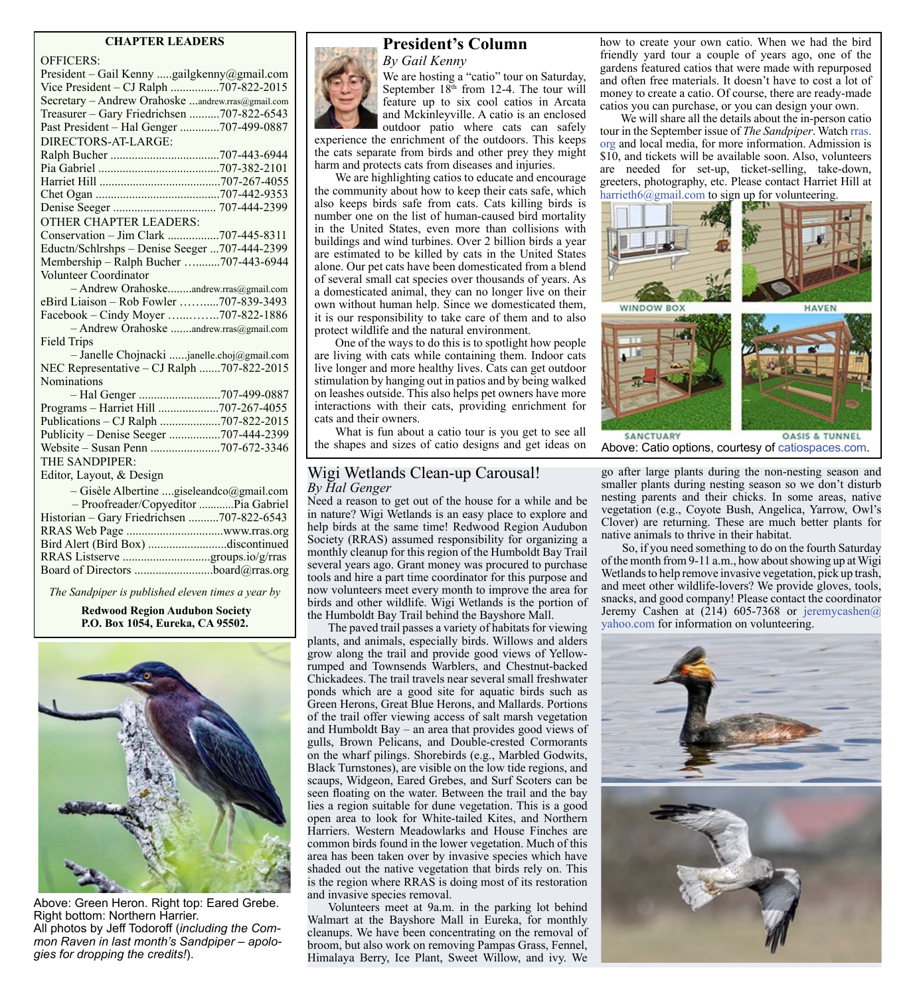### **CHAPTER LEADERS**

| <b>OFFICERS:</b>                                  |
|---------------------------------------------------|
| President - Gail Kenny gailgkenny@gmail.com       |
| Vice President - CJ Ralph 707-822-2015            |
| Secretary - Andrew Orahoske andrew.rras@gmail.com |
| Treasurer - Gary Friedrichsen 707-822-6543        |
| Past President - Hal Genger 707-499-0887          |
| DIRECTORS-AT-LARGE:                               |
|                                                   |
|                                                   |
|                                                   |
|                                                   |
|                                                   |
| <b>OTHER CHAPTER LEADERS:</b>                     |
| Conservation - Jim Clark 707-445-8311             |
| Eductn/Schlrshps - Denise Seeger 707-444-2399     |
| Membership - Ralph Bucher 707-443-6944            |
| Volunteer Coordinator                             |
| - Andrew Orahoskeandrew.rras@gmail.com            |
| eBird Liaison - Rob Fowler 707-839-3493           |
| Facebook - Cindy Moyer 707-822-1886               |
| - Andrew Orahoske andrew.rras@gmail.com           |
| <b>Field Trips</b>                                |
| - Janelle Chojnacki janelle.choj@gmail.com        |
| NEC Representative - CJ Ralph 707-822-2015        |
| Nominations                                       |
|                                                   |
|                                                   |
|                                                   |
| Publicity - Denise Seeger 707-444-2399            |
|                                                   |
| THE SANDPIPER:                                    |
| Editor, Layout, & Design                          |
| - Gisèle Albertine giseleandco@gmail.com          |
| - Proofreader/Copyeditor  Pia Gabriel             |
| Historian - Gary Friedrichsen 707-822-6543        |
|                                                   |
| Bird Alert (Bird Box) discontinued                |
| RRAS Listserve groups.io/g/rras                   |
|                                                   |

*The Sandpiper is published eleven times a year by*

**Redwood Region Audubon Society P.O. Box 1054, Eureka, CA 95502.**



Above: Green Heron. Right top: Eared Grebe. Right bottom: Northern Harrier. All photos by Jeff Todoroff (*including the Common Raven in last month's Sandpiper – apologies for dropping the credits!*).



# **President's Column**

*By Gail Kenny*

We are hosting a "catio" tour on Saturday, September 18<sup>th</sup> from 12-4. The tour will feature up to six cool catios in Arcata and Mckinleyville. A catio is an enclosed outdoor patio where cats can safely

experience the enrichment of the outdoors. This keeps the cats separate from birds and other prey they might harm and protects cats from diseases and injuries.

We are highlighting catios to educate and encourage the community about how to keep their cats safe, which also keeps birds safe from cats. Cats killing birds is number one on the list of human-caused bird mortality in the United States, even more than collisions with buildings and wind turbines. Over 2 billion birds a year are estimated to be killed by cats in the United States alone. Our pet cats have been domesticated from a blend of several small cat species over thousands of years. As a domesticated animal, they can no longer live on their own without human help. Since we domesticated them, it is our responsibility to take care of them and to also protect wildlife and the natural environment.

One of the ways to do this is to spotlight how people are living with cats while containing them. Indoor cats live longer and more healthy lives. Cats can get outdoor stimulation by hanging out in patios and by being walked on leashes outside. This also helps pet owners have more interactions with their cats, providing enrichment for cats and their owners.

What is fun about a catio tour is you get to see all the shapes and sizes of catio designs and get ideas on

## Wigi Wetlands Clean-up Carousal! *By Hal Genger*

Need a reason to get out of the house for a while and be in nature? Wigi Wetlands is an easy place to explore and help birds at the same time! Redwood Region Audubon Society (RRAS) assumed responsibility for organizing a monthly cleanup for this region of the Humboldt Bay Trail several years ago. Grant money was procured to purchase tools and hire a part time coordinator for this purpose and now volunteers meet every month to improve the area for birds and other wildlife. Wigi Wetlands is the portion of the Humboldt Bay Trail behind the Bayshore Mall.

The paved trail passes a variety of habitats for viewing plants, and animals, especially birds. Willows and alders grow along the trail and provide good views of Yellowrumped and Townsends Warblers, and Chestnut-backed Chickadees. The trail travels near several small freshwater ponds which are a good site for aquatic birds such as Green Herons, Great Blue Herons, and Mallards. Portions of the trail offer viewing access of salt marsh vegetation and Humboldt Bay – an area that provides good views of gulls, Brown Pelicans, and Double-crested Cormorants on the wharf pilings. Shorebirds (e.g., Marbled Godwits, Black Turnstones), are visible on the low tide regions, and scaups, Widgeon, Eared Grebes, and Surf Scoters can be seen floating on the water. Between the trail and the bay lies a region suitable for dune vegetation. This is a good open area to look for White-tailed Kites, and Northern Harriers. Western Meadowlarks and House Finches are common birds found in the lower vegetation. Much of this area has been taken over by invasive species which have shaded out the native vegetation that birds rely on. This is the region where RRAS is doing most of its restoration and invasive species removal.

Volunteers meet at 9a.m. in the parking lot behind Walmart at the Bayshore Mall in Eureka, for monthly cleanups. We have been concentrating on the removal of broom, but also work on removing Pampas Grass, Fennel, Himalaya Berry, Ice Plant, Sweet Willow, and ivy. We how to create your own catio. When we had the bird friendly yard tour a couple of years ago, one of the gardens featured catios that were made with repurposed and often free materials. It doesn't have to cost a lot of money to create a catio. Of course, there are ready-made catios you can purchase, or you can design your own.

We will share all the details about the in-person catio tour in the September issue of *The Sandpiper*. Watch [rras.](mailto:http://rras.org/home.aspx?subject=) [org](mailto:http://rras.org/home.aspx?subject=) and local media, for more information. Admission is \$10, and tickets will be available soon. Also, volunteers are needed for set-up, ticket-selling, take-down, greeters, photography, etc. Please contact Harriet Hill at [harrieth6@gmail.com](mailto:harrieth6%40gmail.com?subject=) to sign up for volunteering.



Above: Catio options, courtesy of [catiospaces.com](mailto:https://catiospaces.com/catios-cat-enclosures/diy-plans/?subject=).

go after large plants during the non-nesting season and smaller plants during nesting season so we don't disturb nesting parents and their chicks. In some areas, native vegetation (e.g., Coyote Bush, Angelica, Yarrow, Owl's Clover) are returning. These are much better plants for native animals to thrive in their habitat.

So, if you need something to do on the fourth Saturday of the month from 9-11 a.m., how about showing up at Wigi Wetlands to help remove invasive vegetation, pick up trash, and meet other wildlife-lovers? We provide gloves, tools, snacks, and good company! Please contact the coordinator Jeremy Cashen at (214) 605-7368 or [jeremycashen@](mailto:jeremycashen@yahoo.com) [yahoo.com](mailto:jeremycashen@yahoo.com) for information on volunteering.

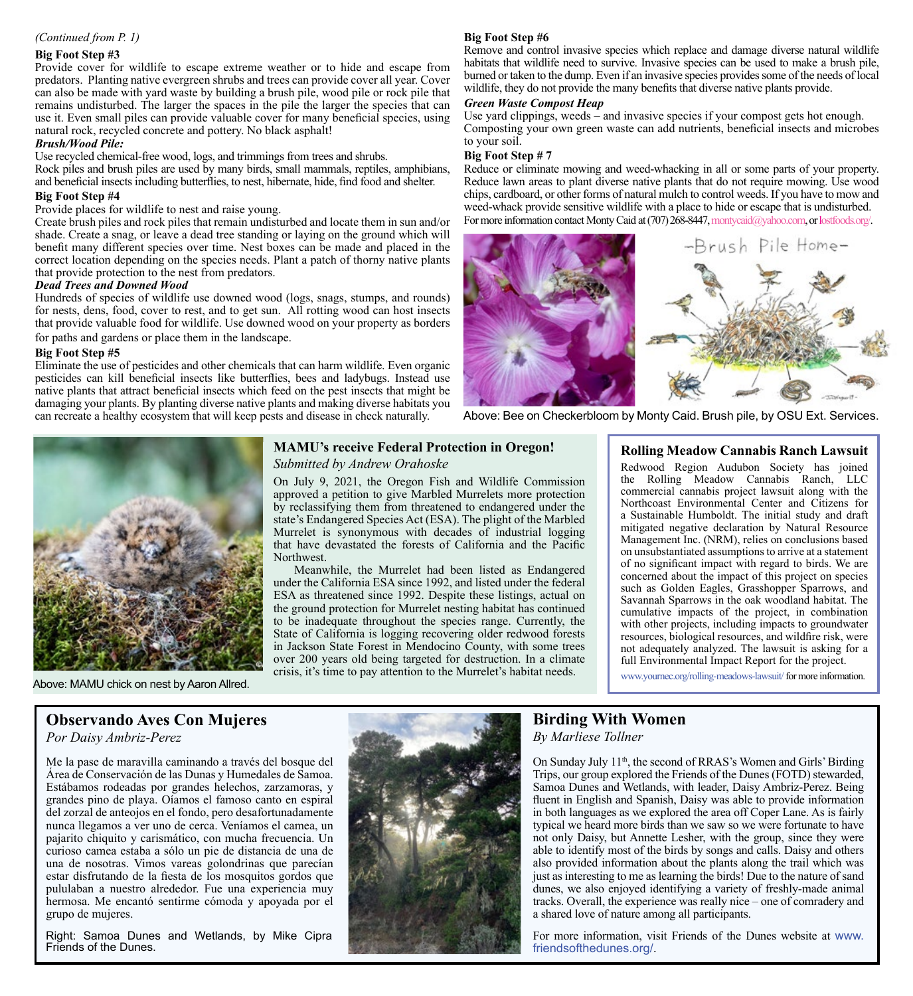## *(Continued from P. 1)*

### **Big Foot Step #3**

Provide cover for wildlife to escape extreme weather or to hide and escape from predators. Planting native evergreen shrubs and trees can provide cover all year. Cover can also be made with yard waste by building a brush pile, wood pile or rock pile that remains undisturbed. The larger the spaces in the pile the larger the species that can use it. Even small piles can provide valuable cover for many beneficial species, using natural rock, recycled concrete and pottery. No black asphalt!

#### *Brush/Wood Pile:*

Use recycled chemical-free wood, logs, and trimmings from trees and shrubs.

Rock piles and brush piles are used by many birds, small mammals, reptiles, amphibians, and beneficial insects including butterflies, to nest, hibernate, hide, find food and shelter.

### **Big Foot Step #4**

## Provide places for wildlife to nest and raise young.

Create brush piles and rock piles that remain undisturbed and locate them in sun and/or shade. Create a snag, or leave a dead tree standing or laying on the ground which will benefit many different species over time. Nest boxes can be made and placed in the correct location depending on the species needs. Plant a patch of thorny native plants that provide protection to the nest from predators.

#### *Dead Trees and Downed Wood*

Hundreds of species of wildlife use downed wood (logs, snags, stumps, and rounds) for nests, dens, food, cover to rest, and to get sun. All rotting wood can host insects that provide valuable food for wildlife. Use downed wood on your property as borders for paths and gardens or place them in the landscape.

#### **Big Foot Step #5**

Eliminate the use of pesticides and other chemicals that can harm wildlife. Even organic pesticides can kill beneficial insects like butterflies, bees and ladybugs. Instead use native plants that attract beneficial insects which feed on the pest insects that might be damaging your plants. By planting diverse native plants and making diverse habitats you can recreate a healthy ecosystem that will keep pests and disease in check naturally.

# **Big Foot Step #6**

Remove and control invasive species which replace and damage diverse natural wildlife habitats that wildlife need to survive. Invasive species can be used to make a brush pile, burned or taken to the dump. Even if an invasive species provides some of the needs of local wildlife, they do not provide the many benefits that diverse native plants provide.

#### *Green Waste Compost Heap*

Use yard clippings, weeds – and invasive species if your compost gets hot enough. Composting your own green waste can add nutrients, beneficial insects and microbes to your soil.

### **Big Foot Step # 7**

Reduce or eliminate mowing and weed-whacking in all or some parts of your property. Reduce lawn areas to plant diverse native plants that do not require mowing. Use wood chips, cardboard, or other forms of natural mulch to control weeds. If you have to mow and weed-whack provide sensitive wildlife with a place to hide or escape that is undisturbed. For more information contact Monty Caid at (707) 268-8447, [montycaid@yahoo.com](http://montycaid@yahoo.com), or l[ostfoods.org/](http://lostfoods.org/).



Above: Bee on Checkerbloom by Monty Caid. Brush pile, by OSU Ext. Services.



## **MAMU's receive Federal Protection in Oregon!** *Submitted by Andrew Orahoske*

On July 9, 2021, the Oregon Fish and Wildlife Commission approved a petition to give Marbled Murrelets more protection by reclassifying them from threatened to endangered under the state's Endangered Species Act (ESA). The plight of the Marbled Murrelet is synonymous with decades of industrial logging that have devastated the forests of California and the Pacific Northwest.

Meanwhile, the Murrelet had been listed as Endangered under the California ESA since 1992, and listed under the federal ESA as threatened since 1992. Despite these listings, actual on the ground protection for Murrelet nesting habitat has continued to be inadequate throughout the species range. Currently, the State of California is logging recovering older redwood forests in Jackson State Forest in Mendocino County, with some trees over 200 years old being targeted for destruction. In a climate crisis, it's time to pay attention to the Murrelet's habitat needs.

## **Rolling Meadow Cannabis Ranch Lawsuit**

Redwood Region Audubon Society has joined the Rolling Meadow Cannabis Ranch, LLC commercial cannabis project lawsuit along with the Northcoast Environmental Center and Citizens for a Sustainable Humboldt. The initial study and draft mitigated negative declaration by Natural Resource Management Inc. (NRM), relies on conclusions based on unsubstantiated assumptions to arrive at a statement of no significant impact with regard to birds. We are concerned about the impact of this project on species such as Golden Eagles, Grasshopper Sparrows, and Savannah Sparrows in the oak woodland habitat. The cumulative impacts of the project, in combination with other projects, including impacts to groundwater resources, biological resources, and wildfire risk, were not adequately analyzed. The lawsuit is asking for a full Environmental Impact Report for the project.

[www.yournec.org/rolling-meadows-lawsuit/for more information.](https://www.yournec.org/rolling-meadows-lawsuit/ )

# **Observando Aves Con Mujeres**

*Por Daisy Ambriz-Perez*

Me la pase de maravilla caminando a través del bosque del Área de Conservación de las Dunas y Humedales de Samoa. Estábamos rodeadas por grandes helechos, zarzamoras, y grandes pino de playa. Oíamos el famoso canto en espiral del zorzal de anteojos en el fondo, pero desafortunadamente nunca llegamos a ver uno de cerca. Veníamos el camea, un pajarito chiquito y carismático, con mucha frecuencia. Un curioso camea estaba a sólo un pie de distancia de una de una de nosotras. Vimos vareas golondrinas que parecían estar disfrutando de la fiesta de los mosquitos gordos que pululaban a nuestro alrededor. Fue una experiencia muy hermosa. Me encantó sentirme cómoda y apoyada por el grupo de mujeres.

Right: Samoa Dunes and Wetlands, by Mike Cipra Friends of the Dunes.



# **Birding With Women**

*By Marliese Tollner*

On Sunday July 11<sup>th</sup>, the second of RRAS's Women and Girls' Birding Trips, our group explored the Friends of the Dunes (FOTD) stewarded, Samoa Dunes and Wetlands, with leader, Daisy Ambriz-Perez. Being fluent in English and Spanish, Daisy was able to provide information in both languages as we explored the area off Coper Lane. As is fairly typical we heard more birds than we saw so we were fortunate to have not only Daisy, but Annette Lesher, with the group, since they were able to identify most of the birds by songs and calls. Daisy and others also provided information about the plants along the trail which was just as interesting to me as learning the birds! Due to the nature of sand dunes, we also enjoyed identifying a variety of freshly-made animal tracks. Overall, the experience was really nice – one of comradery and a shared love of nature among all participants.

For more information, visit Friends of the Dunes website at www. [friendsofthedunes.org/](https://www.friendsofthedunes.org/).